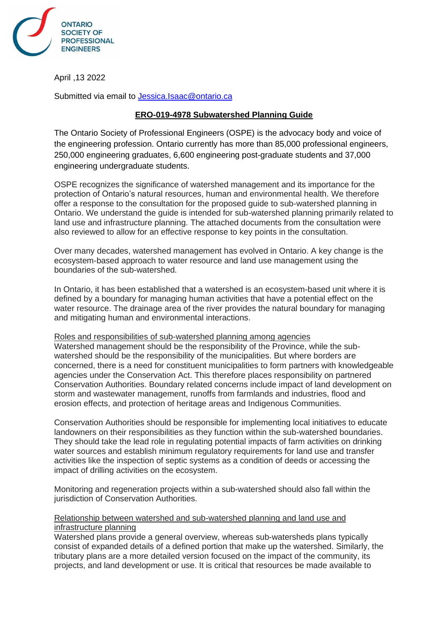

April ,13 2022

Submitted via email to [Jessica.Isaac@ontario.ca](mailto:Jessica.Isaac@ontario.ca)

# **ERO-019-4978 Subwatershed Planning Guide**

The Ontario Society of Professional Engineers (OSPE) is the advocacy body and voice of the engineering profession. Ontario currently has more than 85,000 professional engineers, 250,000 engineering graduates, 6,600 engineering post-graduate students and 37,000 engineering undergraduate students.

OSPE recognizes the significance of watershed management and its importance for the protection of Ontario's natural resources, human and environmental health. We therefore offer a response to the consultation for the proposed guide to sub-watershed planning in Ontario. We understand the guide is intended for sub-watershed planning primarily related to land use and infrastructure planning. The attached documents from the consultation were also reviewed to allow for an effective response to key points in the consultation.

Over many decades, watershed management has evolved in Ontario. A key change is the ecosystem-based approach to water resource and land use management using the boundaries of the sub-watershed.

In Ontario, it has been established that a watershed is an ecosystem-based unit where it is defined by a boundary for managing human activities that have a potential effect on the water resource. The drainage area of the river provides the natural boundary for managing and mitigating human and environmental interactions.

## Roles and responsibilities of sub-watershed planning among agencies

Watershed management should be the responsibility of the Province, while the subwatershed should be the responsibility of the municipalities. But where borders are concerned, there is a need for constituent municipalities to form partners with knowledgeable agencies under the Conservation Act. This therefore places responsibility on partnered Conservation Authorities. Boundary related concerns include impact of land development on storm and wastewater management, runoffs from farmlands and industries, flood and erosion effects, and protection of heritage areas and Indigenous Communities.

Conservation Authorities should be responsible for implementing local initiatives to educate landowners on their responsibilities as they function within the sub-watershed boundaries. They should take the lead role in regulating potential impacts of farm activities on drinking water sources and establish minimum regulatory requirements for land use and transfer activities like the inspection of septic systems as a condition of deeds or accessing the impact of drilling activities on the ecosystem.

Monitoring and regeneration projects within a sub-watershed should also fall within the jurisdiction of Conservation Authorities.

## Relationship between watershed and sub-watershed planning and land use and infrastructure planning

Watershed plans provide a general overview, whereas sub-watersheds plans typically consist of expanded details of a defined portion that make up the watershed. Similarly, the tributary plans are a more detailed version focused on the impact of the community, its projects, and land development or use. It is critical that resources be made available to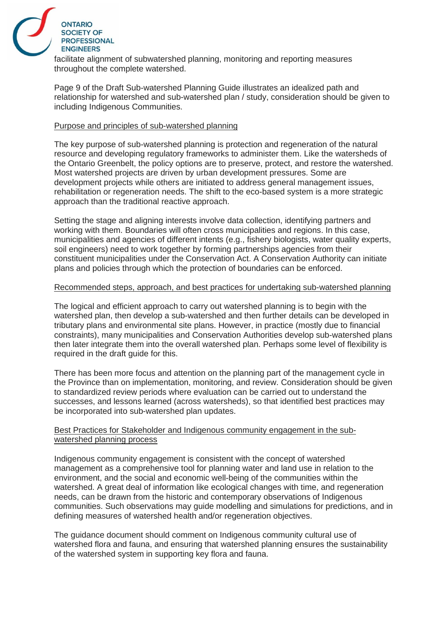

facilitate alignment of subwatershed planning, monitoring and reporting measures throughout the complete watershed.

Page 9 of the Draft Sub-watershed Planning Guide illustrates an idealized path and relationship for watershed and sub-watershed plan / study, consideration should be given to including Indigenous Communities.

## Purpose and principles of sub-watershed planning

The key purpose of sub-watershed planning is protection and regeneration of the natural resource and developing regulatory frameworks to administer them. Like the watersheds of the Ontario Greenbelt, the policy options are to preserve, protect, and restore the watershed. Most watershed projects are driven by urban development pressures. Some are development projects while others are initiated to address general management issues, rehabilitation or regeneration needs. The shift to the eco-based system is a more strategic approach than the traditional reactive approach.

Setting the stage and aligning interests involve data collection, identifying partners and working with them. Boundaries will often cross municipalities and regions. In this case, municipalities and agencies of different intents (e.g., fishery biologists, water quality experts, soil engineers) need to work together by forming partnerships agencies from their constituent municipalities under the Conservation Act. A Conservation Authority can initiate plans and policies through which the protection of boundaries can be enforced.

## Recommended steps, approach, and best practices for undertaking sub-watershed planning

The logical and efficient approach to carry out watershed planning is to begin with the watershed plan, then develop a sub-watershed and then further details can be developed in tributary plans and environmental site plans. However, in practice (mostly due to financial constraints), many municipalities and Conservation Authorities develop sub-watershed plans then later integrate them into the overall watershed plan. Perhaps some level of flexibility is required in the draft guide for this.

There has been more focus and attention on the planning part of the management cycle in the Province than on implementation, monitoring, and review. Consideration should be given to standardized review periods where evaluation can be carried out to understand the successes, and lessons learned (across watersheds), so that identified best practices may be incorporated into sub-watershed plan updates.

## Best Practices for Stakeholder and Indigenous community engagement in the subwatershed planning process

Indigenous community engagement is consistent with the concept of watershed management as a comprehensive tool for planning water and land use in relation to the environment, and the social and economic well-being of the communities within the watershed. A great deal of information like ecological changes with time, and regeneration needs, can be drawn from the historic and contemporary observations of Indigenous communities. Such observations may guide modelling and simulations for predictions, and in defining measures of watershed health and/or regeneration objectives.

The guidance document should comment on Indigenous community cultural use of watershed flora and fauna, and ensuring that watershed planning ensures the sustainability of the watershed system in supporting key flora and fauna.